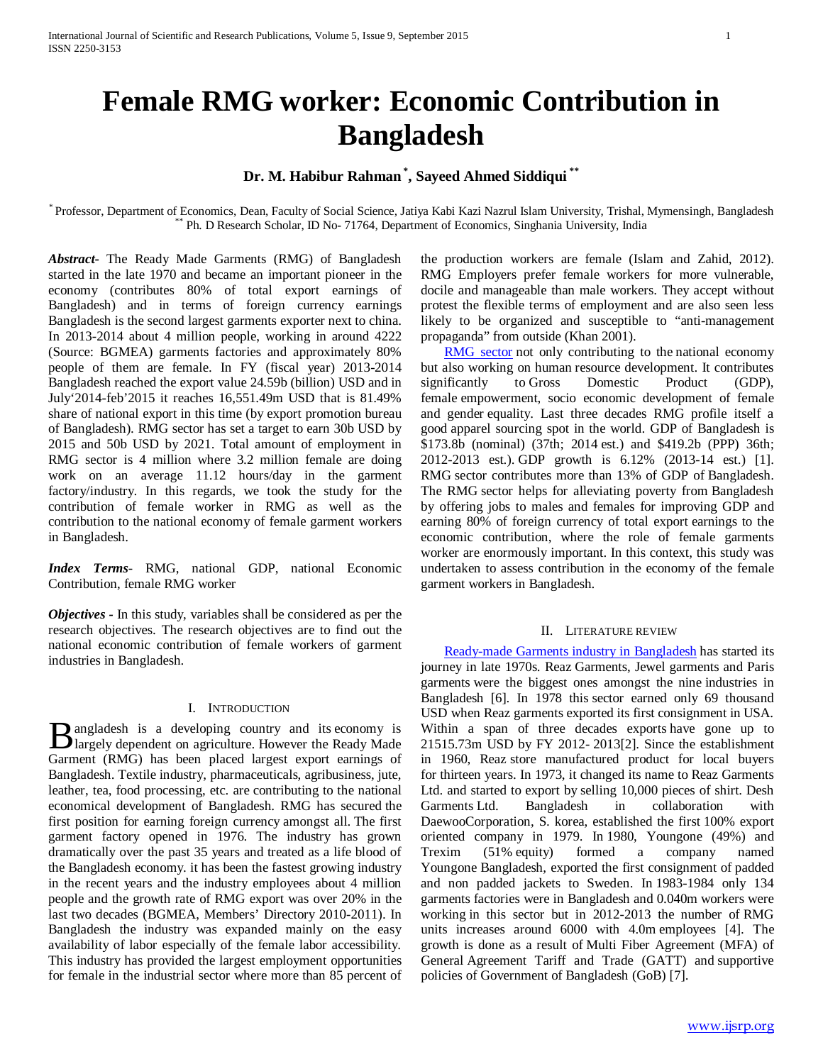# **Female RMG worker: Economic Contribution in Bangladesh**

## **Dr. M. Habibur Rahman \* , Sayeed Ahmed Siddiqui \*\***

\* Professor, Department of Economics, Dean, Faculty of Social Science, Jatiya Kabi Kazi Nazrul Islam University, Trishal, Mymensingh, Bangladesh<br>\*\*\* Ph. D Research Scholar, ID No- 71764, Department of Economics, Singhania

*Abstract***-** The Ready Made Garments (RMG) of Bangladesh started in the late 1970 and became an important pioneer in the economy (contributes 80% of total export earnings of Bangladesh) and in terms of foreign currency earnings Bangladesh is the second largest garments exporter next to china. In 2013-2014 about 4 million people, working in around 4222 (Source: BGMEA) garments factories and approximately 80% people of them are female. In FY (fiscal year) 2013-2014 Bangladesh reached the export value 24.59b (billion) USD and in July'2014-feb'2015 it reaches 16,551.49m USD that is 81.49% share of national export in this time (by export promotion bureau of Bangladesh). RMG sector has set a target to earn 30b USD by 2015 and 50b USD by 2021. Total amount of employment in RMG sector is 4 million where 3.2 million female are doing work on an average 11.12 hours/day in the garment factory/industry. In this regards, we took the study for the contribution of female worker in RMG as well as the contribution to the national economy of female garment workers in Bangladesh.

*Index Terms*- RMG, national GDP, national Economic Contribution, female RMG worker

*Objectives -* In this study, variables shall be considered as per the research objectives. The research objectives are to find out the national economic contribution of female workers of garment industries in Bangladesh.

## I. INTRODUCTION

angladesh is a developing country and its economy is **B** angladesh is a developing country and its economy is largely dependent on agriculture. However the Ready Made Garment (RMG) has been placed largest export earnings of Bangladesh. Textile industry, pharmaceuticals, agribusiness, jute, leather, tea, food processing, etc. are contributing to the national economical development of Bangladesh. RMG has secured the first position for earning foreign currency amongst all. The first garment factory opened in 1976. The industry has grown dramatically over the past 35 years and treated as a life blood of the Bangladesh economy. it has been the fastest growing industry in the recent years and the industry employees about 4 million people and the growth rate of RMG export was over 20% in the last two decades (BGMEA, Members' Directory 2010-2011). In Bangladesh the industry was expanded mainly on the easy availability of labor especially of the female labor accessibility. This industry has provided the largest employment opportunities for female in the industrial sector where more than 85 percent of

the production workers are female (Islam and Zahid, 2012). RMG Employers prefer female workers for more vulnerable, docile and manageable than male workers. They accept without protest the flexible terms of employment and are also seen less likely to be organized and susceptible to "anti-management propaganda" from outside (Khan 2001).

[RMG sector](http://textilelearner.blogspot.com/2011/03/different-sections-in-readymate-garment_4189.html) not only contributing to the national economy but also working on human resource development. It contributes significantly to Gross Domestic Product (GDP), female empowerment, socio economic development of female and gender equality. Last three decades RMG profile itself a good apparel sourcing spot in the world. GDP of Bangladesh is \$173.8b (nominal) (37th; 2014 est.) and \$419.2b (PPP) 36th; 2012-2013 est.). GDP growth is 6.12% (2013-14 est.) [1]. RMG sector contributes more than 13% of GDP of Bangladesh. The RMG sector helps for alleviating poverty from Bangladesh by offering jobs to males and females for improving GDP and earning 80% of foreign currency of total export earnings to the economic contribution, where the role of female garments worker are enormously important. In this context, this study was undertaken to assess contribution in the economy of the female garment workers in Bangladesh.

#### II. LITERATURE REVIEW

 [Ready-made Garments industry in Bangladesh](http://textilelearner.blogspot.com/2012/11/present-conditionsituation-of-ready.html) has started its journey in late 1970s. Reaz Garments, Jewel garments and Paris garments were the biggest ones amongst the nine industries in Bangladesh [6]. In 1978 this sector earned only 69 thousand USD when Reaz garments exported its first consignment in USA. Within a span of three decades exports have gone up to 21515.73m USD by FY 2012- 2013[2]. Since the establishment in 1960, Reaz store manufactured product for local buyers for thirteen years. In 1973, it changed its name to Reaz Garments Ltd. and started to export by selling 10,000 pieces of shirt. Desh Garments Ltd. Bangladesh in collaboration with DaewooCorporation, S. korea, established the first 100% export oriented company in 1979. In 1980, Youngone (49%) and Trexim (51% equity) formed a company named Youngone Bangladesh, exported the first consignment of padded and non padded jackets to Sweden. In 1983-1984 only 134 garments factories were in Bangladesh and 0.040m workers were working in this sector but in 2012-2013 the number of RMG units increases around 6000 with 4.0m employees [4]. The growth is done as a result of Multi Fiber Agreement (MFA) of General Agreement Tariff and Trade (GATT) and supportive policies of Government of Bangladesh (GoB) [7].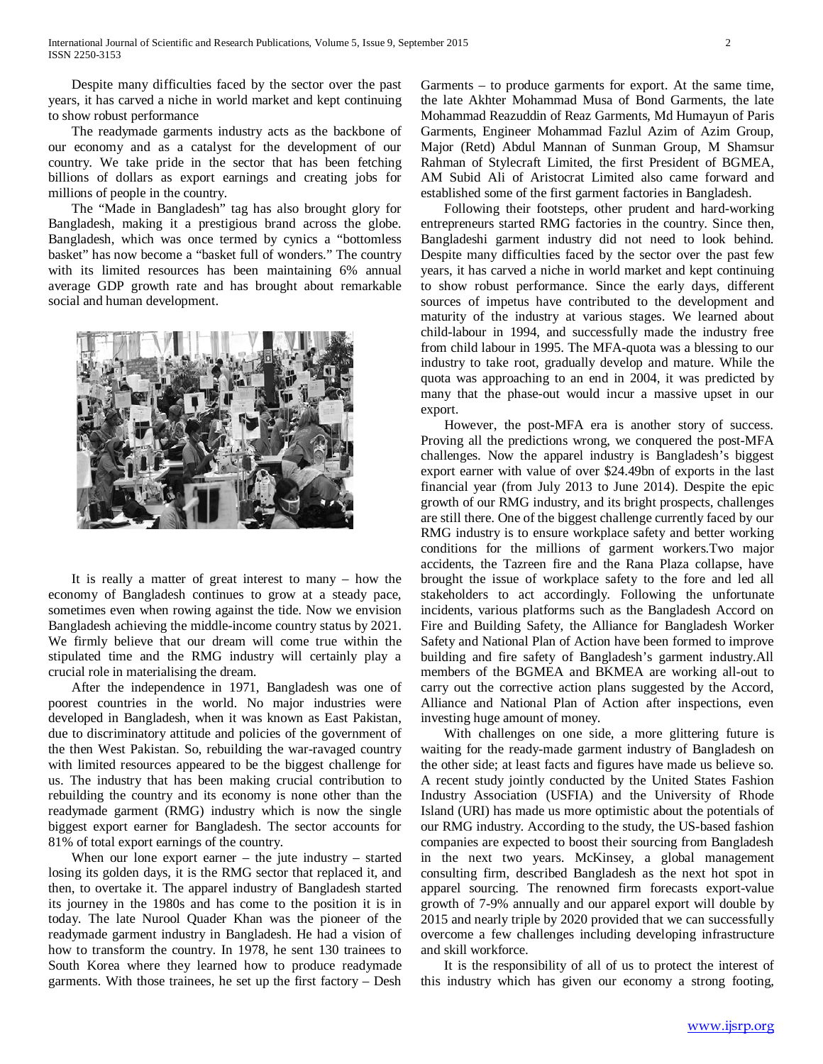Despite many difficulties faced by the sector over the past years, it has carved a niche in world market and kept continuing to show robust performance

 The readymade garments industry acts as the backbone of our economy and as a catalyst for the development of our country. We take pride in the sector that has been fetching billions of dollars as export earnings and creating jobs for millions of people in the country.

 The "Made in Bangladesh" tag has also brought glory for Bangladesh, making it a prestigious brand across the globe. Bangladesh, which was once termed by cynics a "bottomless basket" has now become a "basket full of wonders." The country with its limited resources has been maintaining 6% annual average GDP growth rate and has brought about remarkable social and human development.



 It is really a matter of great interest to many – how the economy of Bangladesh continues to grow at a steady pace, sometimes even when rowing against the tide. Now we envision Bangladesh achieving the middle-income country status by 2021. We firmly believe that our dream will come true within the stipulated time and the RMG industry will certainly play a crucial role in materialising the dream.

 After the independence in 1971, Bangladesh was one of poorest countries in the world. No major industries were developed in Bangladesh, when it was known as East Pakistan, due to discriminatory attitude and policies of the government of the then West Pakistan. So, rebuilding the war-ravaged country with limited resources appeared to be the biggest challenge for us. The industry that has been making crucial contribution to rebuilding the country and its economy is none other than the readymade garment (RMG) industry which is now the single biggest export earner for Bangladesh. The sector accounts for 81% of total export earnings of the country.

When our lone export earner  $-$  the jute industry  $-$  started losing its golden days, it is the RMG sector that replaced it, and then, to overtake it. The apparel industry of Bangladesh started its journey in the 1980s and has come to the position it is in today. The late Nurool Quader Khan was the pioneer of the readymade garment industry in Bangladesh. He had a vision of how to transform the country. In 1978, he sent 130 trainees to South Korea where they learned how to produce readymade garments. With those trainees, he set up the first factory – Desh Garments – to produce garments for export. At the same time, the late Akhter Mohammad Musa of Bond Garments, the late Mohammad Reazuddin of Reaz Garments, Md Humayun of Paris Garments, Engineer Mohammad Fazlul Azim of Azim Group, Major (Retd) Abdul Mannan of Sunman Group, M Shamsur Rahman of Stylecraft Limited, the first President of BGMEA, AM Subid Ali of Aristocrat Limited also came forward and established some of the first garment factories in Bangladesh.

 Following their footsteps, other prudent and hard-working entrepreneurs started RMG factories in the country. Since then, Bangladeshi garment industry did not need to look behind. Despite many difficulties faced by the sector over the past few years, it has carved a niche in world market and kept continuing to show robust performance. Since the early days, different sources of impetus have contributed to the development and maturity of the industry at various stages. We learned about child-labour in 1994, and successfully made the industry free from child labour in 1995. The MFA-quota was a blessing to our industry to take root, gradually develop and mature. While the quota was approaching to an end in 2004, it was predicted by many that the phase-out would incur a massive upset in our export.

 However, the post-MFA era is another story of success. Proving all the predictions wrong, we conquered the post-MFA challenges. Now the apparel industry is Bangladesh's biggest export earner with value of over \$24.49bn of exports in the last financial year (from July 2013 to June 2014). Despite the epic growth of our RMG industry, and its bright prospects, challenges are still there. One of the biggest challenge currently faced by our RMG industry is to ensure workplace safety and better working conditions for the millions of garment workers.Two major accidents, the Tazreen fire and the Rana Plaza collapse, have brought the issue of workplace safety to the fore and led all stakeholders to act accordingly. Following the unfortunate incidents, various platforms such as the Bangladesh Accord on Fire and Building Safety, the Alliance for Bangladesh Worker Safety and National Plan of Action have been formed to improve building and fire safety of Bangladesh's garment industry.All members of the BGMEA and BKMEA are working all-out to carry out the corrective action plans suggested by the Accord, Alliance and National Plan of Action after inspections, even investing huge amount of money.

 With challenges on one side, a more glittering future is waiting for the ready-made garment industry of Bangladesh on the other side; at least facts and figures have made us believe so. A recent study jointly conducted by the United States Fashion Industry Association (USFIA) and the University of Rhode Island (URI) has made us more optimistic about the potentials of our RMG industry. According to the study, the US-based fashion companies are expected to boost their sourcing from Bangladesh in the next two years. McKinsey, a global management consulting firm, described Bangladesh as the next hot spot in apparel sourcing. The renowned firm forecasts export-value growth of 7-9% annually and our apparel export will double by 2015 and nearly triple by 2020 provided that we can successfully overcome a few challenges including developing infrastructure and skill workforce.

 It is the responsibility of all of us to protect the interest of this industry which has given our economy a strong footing,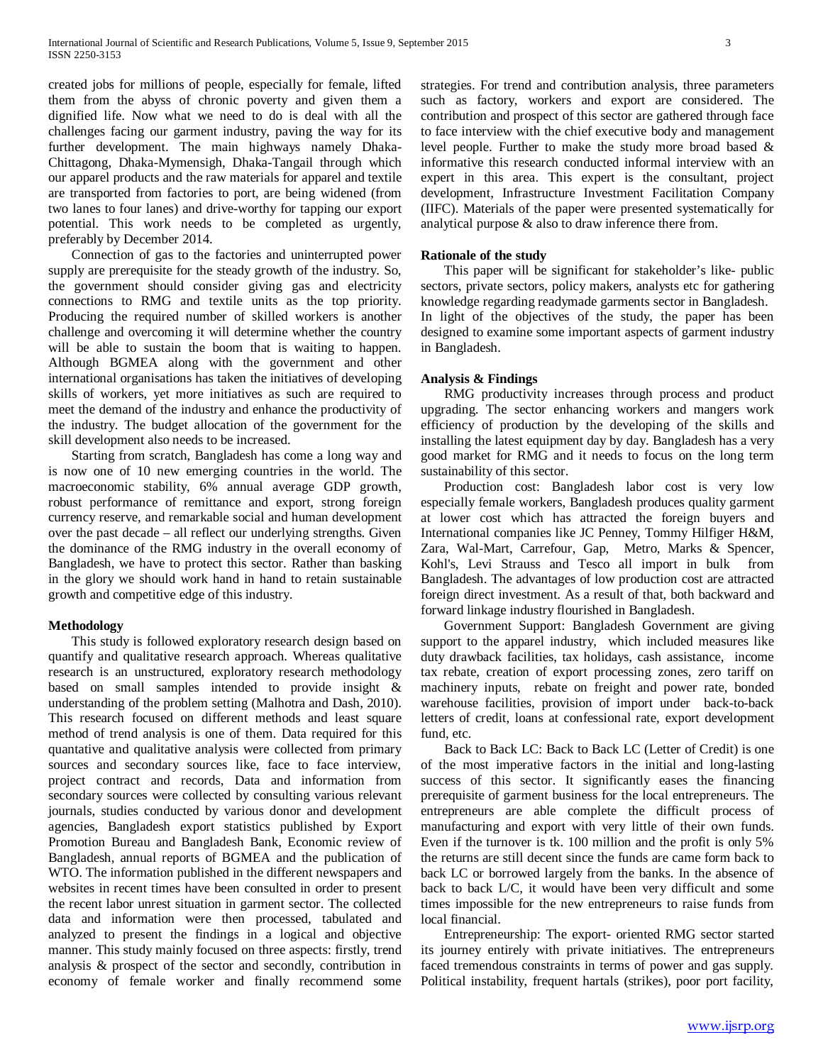created jobs for millions of people, especially for female, lifted them from the abyss of chronic poverty and given them a dignified life. Now what we need to do is deal with all the challenges facing our garment industry, paving the way for its further development. The main highways namely Dhaka-Chittagong, Dhaka-Mymensigh, Dhaka-Tangail through which our apparel products and the raw materials for apparel and textile are transported from factories to port, are being widened (from two lanes to four lanes) and drive-worthy for tapping our export potential. This work needs to be completed as urgently, preferably by December 2014.

 Connection of gas to the factories and uninterrupted power supply are prerequisite for the steady growth of the industry. So, the government should consider giving gas and electricity connections to RMG and textile units as the top priority. Producing the required number of skilled workers is another challenge and overcoming it will determine whether the country will be able to sustain the boom that is waiting to happen. Although BGMEA along with the government and other international organisations has taken the initiatives of developing skills of workers, yet more initiatives as such are required to meet the demand of the industry and enhance the productivity of the industry. The budget allocation of the government for the skill development also needs to be increased.

 Starting from scratch, Bangladesh has come a long way and is now one of 10 new emerging countries in the world. The macroeconomic stability, 6% annual average GDP growth, robust performance of remittance and export, strong foreign currency reserve, and remarkable social and human development over the past decade – all reflect our underlying strengths. Given the dominance of the RMG industry in the overall economy of Bangladesh, we have to protect this sector. Rather than basking in the glory we should work hand in hand to retain sustainable growth and competitive edge of this industry.

## **Methodology**

 This study is followed exploratory research design based on quantify and qualitative research approach. Whereas qualitative research is an unstructured, exploratory research methodology based on small samples intended to provide insight & understanding of the problem setting (Malhotra and Dash, 2010). This research focused on different methods and least square method of trend analysis is one of them. Data required for this quantative and qualitative analysis were collected from primary sources and secondary sources like, face to face interview, project contract and records, Data and information from secondary sources were collected by consulting various relevant journals, studies conducted by various donor and development agencies, Bangladesh export statistics published by Export Promotion Bureau and Bangladesh Bank, Economic review of Bangladesh, annual reports of BGMEA and the publication of WTO. The information published in the different newspapers and websites in recent times have been consulted in order to present the recent labor unrest situation in garment sector. The collected data and information were then processed, tabulated and analyzed to present the findings in a logical and objective manner. This study mainly focused on three aspects: firstly, trend analysis & prospect of the sector and secondly, contribution in economy of female worker and finally recommend some strategies. For trend and contribution analysis, three parameters such as factory, workers and export are considered. The contribution and prospect of this sector are gathered through face to face interview with the chief executive body and management level people. Further to make the study more broad based & informative this research conducted informal interview with an expert in this area. This expert is the consultant, project development, Infrastructure Investment Facilitation Company (IIFC). Materials of the paper were presented systematically for analytical purpose & also to draw inference there from.

## **Rationale of the study**

 This paper will be significant for stakeholder's like- public sectors, private sectors, policy makers, analysts etc for gathering knowledge regarding readymade garments sector in Bangladesh. In light of the objectives of the study, the paper has been designed to examine some important aspects of garment industry in Bangladesh.

## **Analysis & Findings**

 RMG productivity increases through process and product upgrading. The sector enhancing workers and mangers work efficiency of production by the developing of the skills and installing the latest equipment day by day. Bangladesh has a very good market for RMG and it needs to focus on the long term sustainability of this sector.

 Production cost: Bangladesh labor cost is very low especially female workers, Bangladesh produces quality garment at lower cost which has attracted the foreign buyers and International companies like JC Penney, Tommy Hilfiger H&M, Zara, Wal-Mart, Carrefour, Gap, Metro, Marks & Spencer, Kohl's, Levi Strauss and Tesco all import in bulk from Bangladesh. The advantages of low production cost are attracted foreign direct investment. As a result of that, both backward and forward linkage industry flourished in Bangladesh.

 Government Support: Bangladesh Government are giving support to the apparel industry, which included measures like duty drawback facilities, tax holidays, cash assistance, income tax rebate, creation of export processing zones, zero tariff on machinery inputs, rebate on freight and power rate, bonded warehouse facilities, provision of import under back-to-back letters of credit, loans at confessional rate, export development fund, etc.

 Back to Back LC: Back to Back LC (Letter of Credit) is one of the most imperative factors in the initial and long-lasting success of this sector. It significantly eases the financing prerequisite of garment business for the local entrepreneurs. The entrepreneurs are able complete the difficult process of manufacturing and export with very little of their own funds. Even if the turnover is tk. 100 million and the profit is only 5% the returns are still decent since the funds are came form back to back LC or borrowed largely from the banks. In the absence of back to back L/C, it would have been very difficult and some times impossible for the new entrepreneurs to raise funds from local financial.

 Entrepreneurship: The export- oriented RMG sector started its journey entirely with private initiatives. The entrepreneurs faced tremendous constraints in terms of power and gas supply. Political instability, frequent hartals (strikes), poor port facility,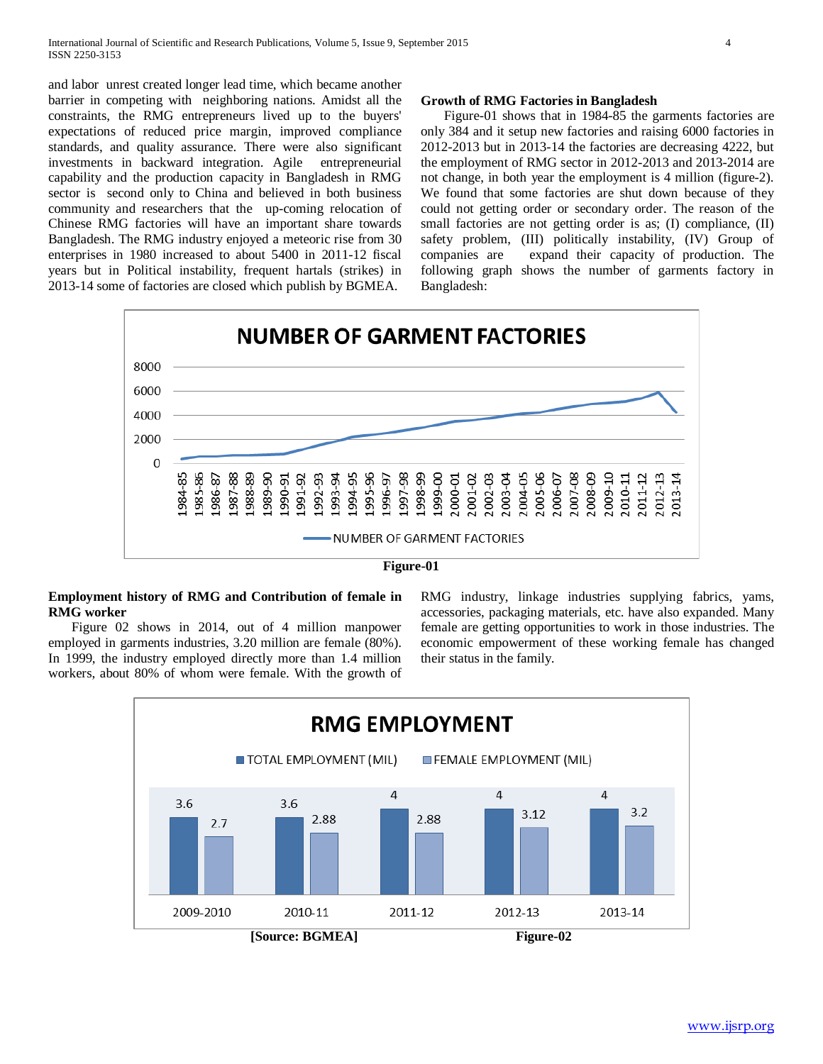and labor unrest created longer lead time, which became another barrier in competing with neighboring nations. Amidst all the constraints, the RMG entrepreneurs lived up to the buyers' expectations of reduced price margin, improved compliance standards, and quality assurance. There were also significant investments in backward integration. Agile entrepreneurial capability and the production capacity in Bangladesh in RMG sector is second only to China and believed in both business community and researchers that the up-coming relocation of Chinese RMG factories will have an important share towards Bangladesh. The RMG industry enjoyed a meteoric rise from 30 enterprises in 1980 increased to about 5400 in 2011-12 fiscal years but in Political instability, frequent hartals (strikes) in 2013-14 some of factories are closed which publish by BGMEA.

#### **Growth of RMG Factories in Bangladesh**

 Figure-01 shows that in 1984-85 the garments factories are only 384 and it setup new factories and raising 6000 factories in 2012-2013 but in 2013-14 the factories are decreasing 4222, but the employment of RMG sector in 2012-2013 and 2013-2014 are not change, in both year the employment is 4 million (figure-2). We found that some factories are shut down because of they could not getting order or secondary order. The reason of the small factories are not getting order is as; (I) compliance, (II) safety problem, (III) politically instability, (IV) Group of companies are expand their capacity of production. The following graph shows the number of garments factory in Bangladesh:



## **Employment history of RMG and Contribution of female in RMG worker**

 Figure 02 shows in 2014, out of 4 million manpower employed in garments industries, 3.20 million are female (80%). In 1999, the industry employed directly more than 1.4 million workers, about 80% of whom were female. With the growth of RMG industry, linkage industries supplying fabrics, yams, accessories, packaging materials, etc. have also expanded. Many female are getting opportunities to work in those industries. The economic empowerment of these working female has changed their status in the family.

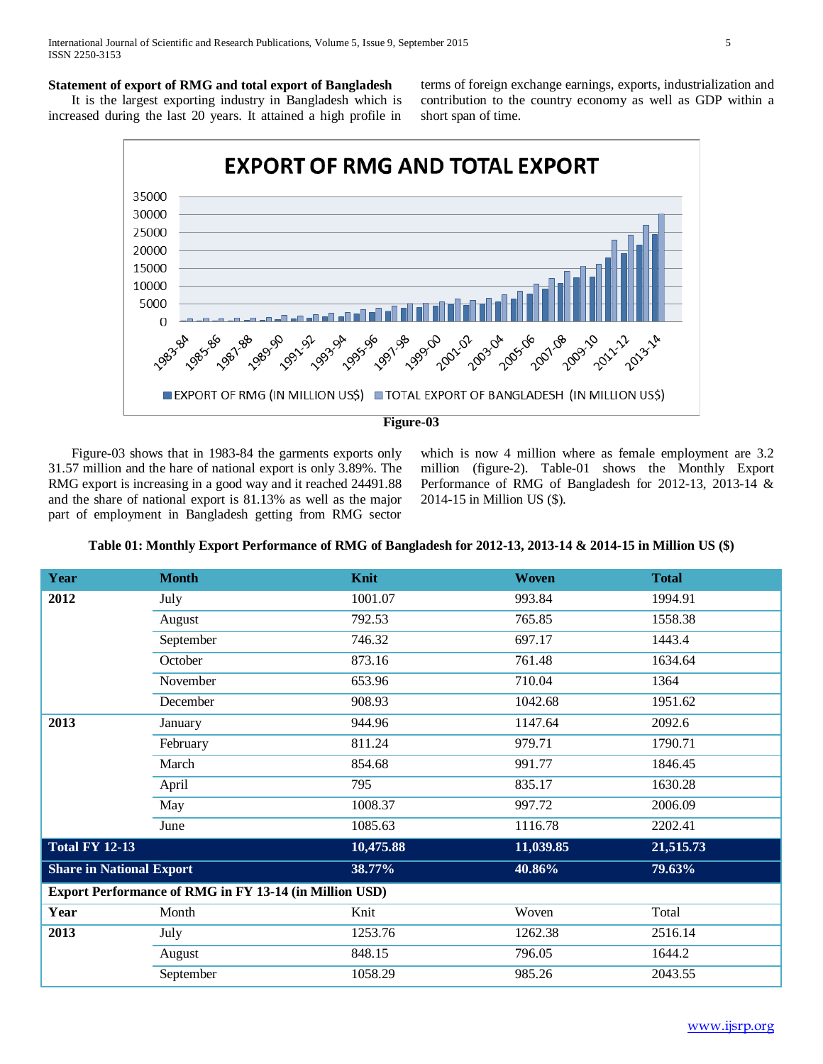## **Statement of export of RMG and total export of Bangladesh**

 It is the largest exporting industry in Bangladesh which is increased during the last 20 years. It attained a high profile in terms of foreign exchange earnings, exports, industrialization and contribution to the country economy as well as GDP within a short span of time.



 Figure-03 shows that in 1983-84 the garments exports only 31.57 million and the hare of national export is only 3.89%. The RMG export is increasing in a good way and it reached 24491.88 and the share of national export is 81.13% as well as the major part of employment in Bangladesh getting from RMG sector which is now 4 million where as female employment are  $3.2$ million (figure-2). Table-01 shows the Monthly Export Performance of RMG of Bangladesh for 2012-13, 2013-14 & 2014-15 in Million US (\$).

| Year                            | <b>Month</b>                                           | Knit      | <b>Woven</b> | <b>Total</b> |
|---------------------------------|--------------------------------------------------------|-----------|--------------|--------------|
| 2012                            | July                                                   | 1001.07   | 993.84       | 1994.91      |
|                                 | August                                                 | 792.53    | 765.85       | 1558.38      |
|                                 | September                                              | 746.32    | 697.17       | 1443.4       |
|                                 | October                                                | 873.16    | 761.48       | 1634.64      |
|                                 | November                                               | 653.96    | 710.04       | 1364         |
|                                 | December                                               | 908.93    | 1042.68      | 1951.62      |
| 2013                            | January                                                | 944.96    | 1147.64      | 2092.6       |
|                                 | February                                               | 811.24    | 979.71       | 1790.71      |
|                                 | March                                                  | 854.68    | 991.77       | 1846.45      |
|                                 | April                                                  | 795       | 835.17       | 1630.28      |
|                                 | May                                                    | 1008.37   | 997.72       | 2006.09      |
|                                 | June                                                   | 1085.63   | 1116.78      | 2202.41      |
| <b>Total FY 12-13</b>           |                                                        | 10,475.88 | 11,039.85    | 21,515.73    |
| <b>Share in National Export</b> |                                                        | 38.77%    | 40.86%       | 79.63%       |
|                                 | Export Performance of RMG in FY 13-14 (in Million USD) |           |              |              |
| Year                            | Month                                                  | Knit      | Woven        | Total        |
| 2013                            | July                                                   | 1253.76   | 1262.38      | 2516.14      |
|                                 | August                                                 | 848.15    | 796.05       | 1644.2       |
|                                 | September                                              | 1058.29   | 985.26       | 2043.55      |

**Table 01: Monthly Export Performance of RMG of Bangladesh for 2012-13, 2013-14 & 2014-15 in Million US (\$)**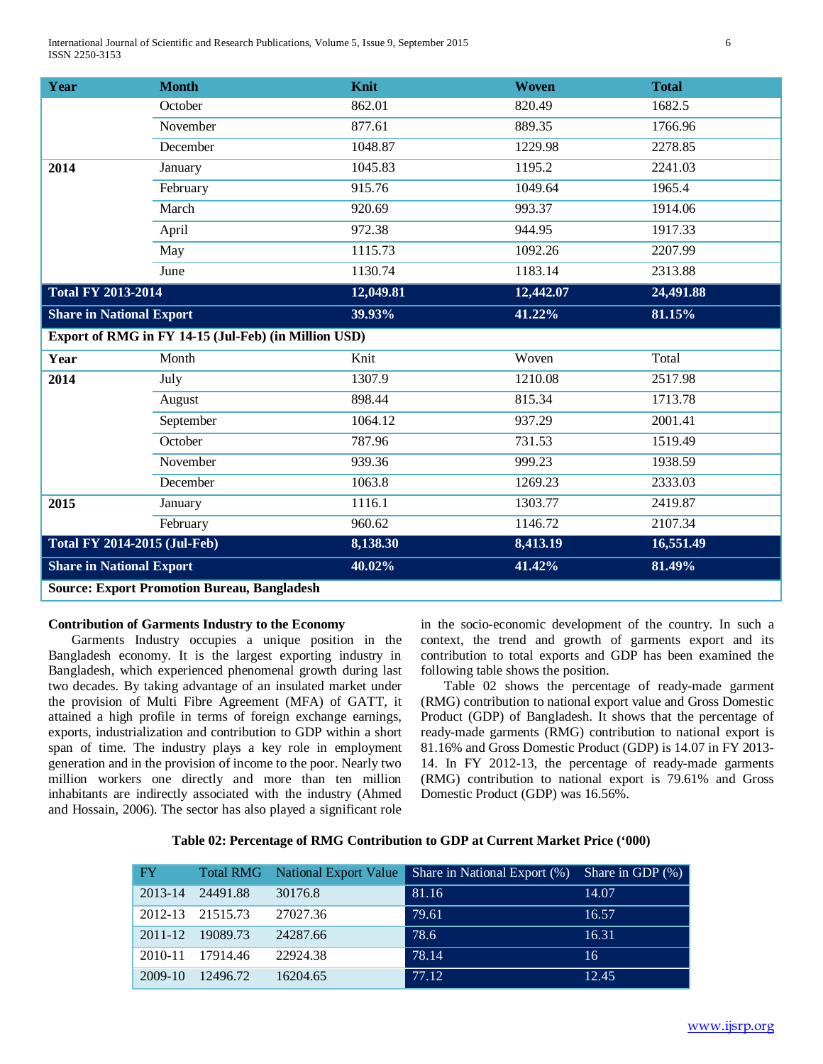International Journal of Scientific and Research Publications, Volume 5, Issue 9, September 2015 6 ISSN 2250-3153

| Year                                               | <b>Month</b>                                         | Knit      | <b>Woven</b> | <b>Total</b> |  |
|----------------------------------------------------|------------------------------------------------------|-----------|--------------|--------------|--|
|                                                    | October                                              | 862.01    | 820.49       | 1682.5       |  |
|                                                    | November                                             | 877.61    | 889.35       | 1766.96      |  |
|                                                    | December                                             | 1048.87   | 1229.98      | 2278.85      |  |
| 2014                                               | January                                              | 1045.83   | 1195.2       | 2241.03      |  |
|                                                    | February                                             | 915.76    | 1049.64      | 1965.4       |  |
|                                                    | March                                                | 920.69    | 993.37       | 1914.06      |  |
|                                                    | April                                                | 972.38    | 944.95       | 1917.33      |  |
|                                                    | May                                                  | 1115.73   | 1092.26      | 2207.99      |  |
|                                                    | June                                                 | 1130.74   | 1183.14      | 2313.88      |  |
| <b>Total FY 2013-2014</b>                          |                                                      | 12,049.81 | 12,442.07    | 24,491.88    |  |
| <b>Share in National Export</b>                    |                                                      | 39.93%    | 41.22%       | 81.15%       |  |
|                                                    | Export of RMG in FY 14-15 (Jul-Feb) (in Million USD) |           |              |              |  |
| Year                                               | Month                                                | Knit      | Woven        | Total        |  |
| 2014                                               | July                                                 | 1307.9    | 1210.08      | 2517.98      |  |
|                                                    | August                                               | 898.44    | 815.34       | 1713.78      |  |
|                                                    | September                                            | 1064.12   | 937.29       | 2001.41      |  |
|                                                    | October                                              | 787.96    | 731.53       | 1519.49      |  |
|                                                    | November                                             | 939.36    | 999.23       | 1938.59      |  |
|                                                    | December                                             | 1063.8    | 1269.23      | 2333.03      |  |
| 2015                                               | January                                              | 1116.1    | 1303.77      | 2419.87      |  |
|                                                    | February                                             | 960.62    | 1146.72      | 2107.34      |  |
| <b>Total FY 2014-2015 (Jul-Feb)</b>                |                                                      | 8,138.30  | 8,413.19     | 16,551.49    |  |
| <b>Share in National Export</b>                    |                                                      | 40.02%    | 41.42%       | 81.49%       |  |
| <b>Source: Export Promotion Bureau, Bangladesh</b> |                                                      |           |              |              |  |

## **Contribution of Garments Industry to the Economy**

 Garments Industry occupies a unique position in the Bangladesh economy. It is the largest exporting industry in Bangladesh, which experienced phenomenal growth during last two decades. By taking advantage of an insulated market under the provision of Multi Fibre Agreement (MFA) of GATT, it attained a high profile in terms of foreign exchange earnings, exports, industrialization and contribution to GDP within a short span of time. The industry plays a key role in employment generation and in the provision of income to the poor. Nearly two million workers one directly and more than ten million inhabitants are indirectly associated with the industry (Ahmed and Hossain, 2006). The sector has also played a significant role in the socio-economic development of the country. In such a context, the trend and growth of garments export and its contribution to total exports and GDP has been examined the following table shows the position.

 Table 02 shows the percentage of ready-made garment (RMG) contribution to national export value and Gross Domestic Product (GDP) of Bangladesh. It shows that the percentage of ready-made garments (RMG) contribution to national export is 81.16% and Gross Domestic Product (GDP) is 14.07 in FY 2013- 14. In FY 2012-13, the percentage of ready-made garments (RMG) contribution to national export is 79.61% and Gross Domestic Product (GDP) was 16.56%.

| Table 02: Percentage of RMG Contribution to GDP at Current Market Price ('000) |  |  |  |
|--------------------------------------------------------------------------------|--|--|--|
|                                                                                |  |  |  |

| FY        |                  |          | Total RMG National Export Value Share in National Export (%) | Share in GDP $(\%)$ |
|-----------|------------------|----------|--------------------------------------------------------------|---------------------|
| 2013-14   | 24491.88         | 30176.8  | 81.16                                                        | 14.07               |
|           | 2012-13 21515.73 | 27027.36 | 79.61                                                        | 16.57               |
|           | 2011-12 19089.73 | 24287.66 | 78.6                                                         | 16.31               |
| 2010-11   | 17914.46         | 22924.38 | 78.14                                                        | 16                  |
| $2009-10$ | 12496.72         | 16204.65 | 77.12                                                        | 12.45               |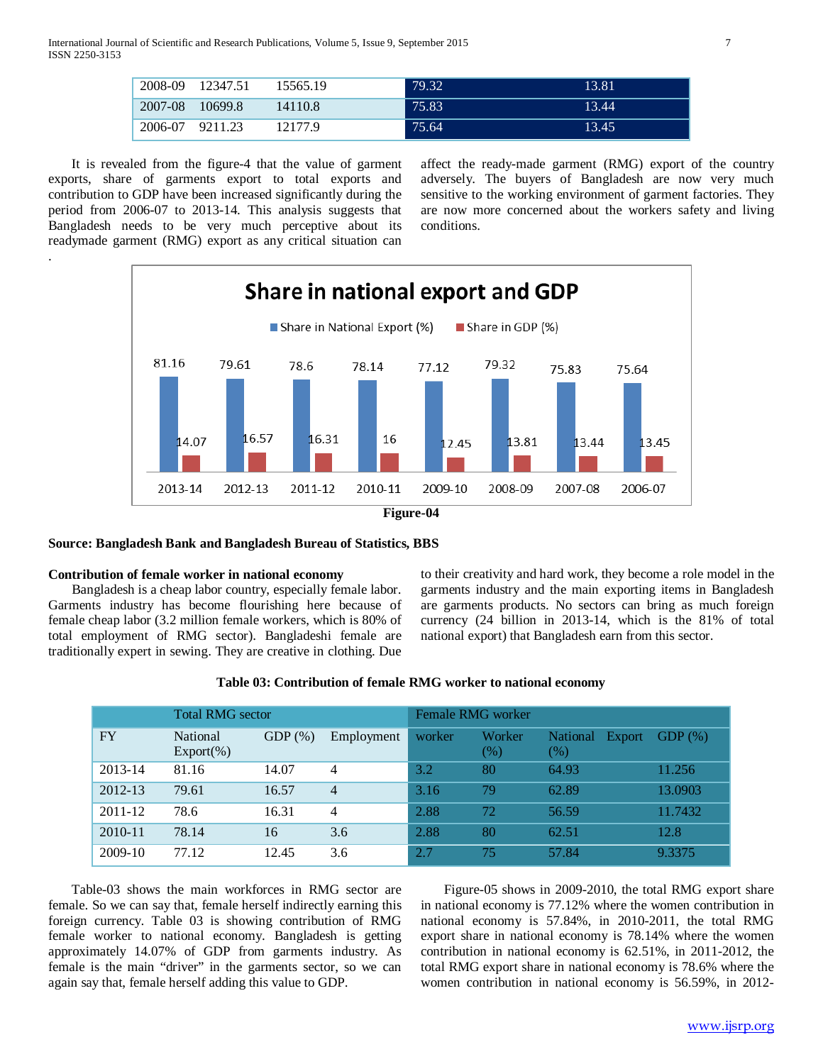International Journal of Scientific and Research Publications, Volume 5, Issue 9, September 2015 7 ISSN 2250-3153

| 2008-09 | 12347.51  | 15565.19 | 79.32 | 13.81 |
|---------|-----------|----------|-------|-------|
| 2007-08 | - 10699.8 | 14110.8  | 75.83 | 13.44 |
| 2006-07 | 9211.23   | 12177.9  | 75.64 | 13.45 |

 It is revealed from the figure-4 that the value of garment exports, share of garments export to total exports and contribution to GDP have been increased significantly during the period from 2006-07 to 2013-14. This analysis suggests that Bangladesh needs to be very much perceptive about its readymade garment (RMG) export as any critical situation can

.

affect the ready-made garment (RMG) export of the country adversely. The buyers of Bangladesh are now very much sensitive to the working environment of garment factories. They are now more concerned about the workers safety and living conditions.



## **Source: Bangladesh Bank and Bangladesh Bureau of Statistics, BBS**

## **Contribution of female worker in national economy**

 Bangladesh is a cheap labor country, especially female labor. Garments industry has become flourishing here because of female cheap labor (3.2 million female workers, which is 80% of total employment of RMG sector). Bangladeshi female are traditionally expert in sewing. They are creative in clothing. Due to their creativity and hard work, they become a role model in the garments industry and the main exporting items in Bangladesh are garments products. No sectors can bring as much foreign currency (24 billion in 2013-14, which is the 81% of total national export) that Bangladesh earn from this sector.

| <b>Total RMG</b> sector |                           |           | Female RMG worker |        |               |                                  |           |
|-------------------------|---------------------------|-----------|-------------------|--------|---------------|----------------------------------|-----------|
| <b>FY</b>               | National<br>$Export(\% )$ | $GDP(\%)$ | Employment        | worker | Worker<br>(%) | <b>National</b><br>Export<br>(%) | $GDP(\%)$ |
| 2013-14                 | 81.16                     | 14.07     | 4                 | 3.2    | 80            | 64.93                            | 11.256    |
| 2012-13                 | 79.61                     | 16.57     | $\overline{4}$    | 3.16   | 79            | 62.89                            | 13.0903   |
| $2011 - 12$             | 78.6                      | 16.31     | 4                 | 2.88   | 72            | 56.59                            | 11.7432   |
| 2010-11                 | 78.14                     | 16        | 3.6               | 2.88   | 80            | 62.51                            | 12.8      |
| 2009-10                 | 77.12                     | 12.45     | 3.6               | 2.7    | 75            | 57.84                            | 9.3375    |

#### **Table 03: Contribution of female RMG worker to national economy**

 Table-03 shows the main workforces in RMG sector are female. So we can say that, female herself indirectly earning this foreign currency. Table 03 is showing contribution of RMG female worker to national economy. Bangladesh is getting approximately 14.07% of GDP from garments industry. As female is the main "driver" in the garments sector, so we can again say that, female herself adding this value to GDP.

 Figure-05 shows in 2009-2010, the total RMG export share in national economy is 77.12% where the women contribution in national economy is 57.84%, in 2010-2011, the total RMG export share in national economy is 78.14% where the women contribution in national economy is 62.51%, in 2011-2012, the total RMG export share in national economy is 78.6% where the women contribution in national economy is 56.59%, in 2012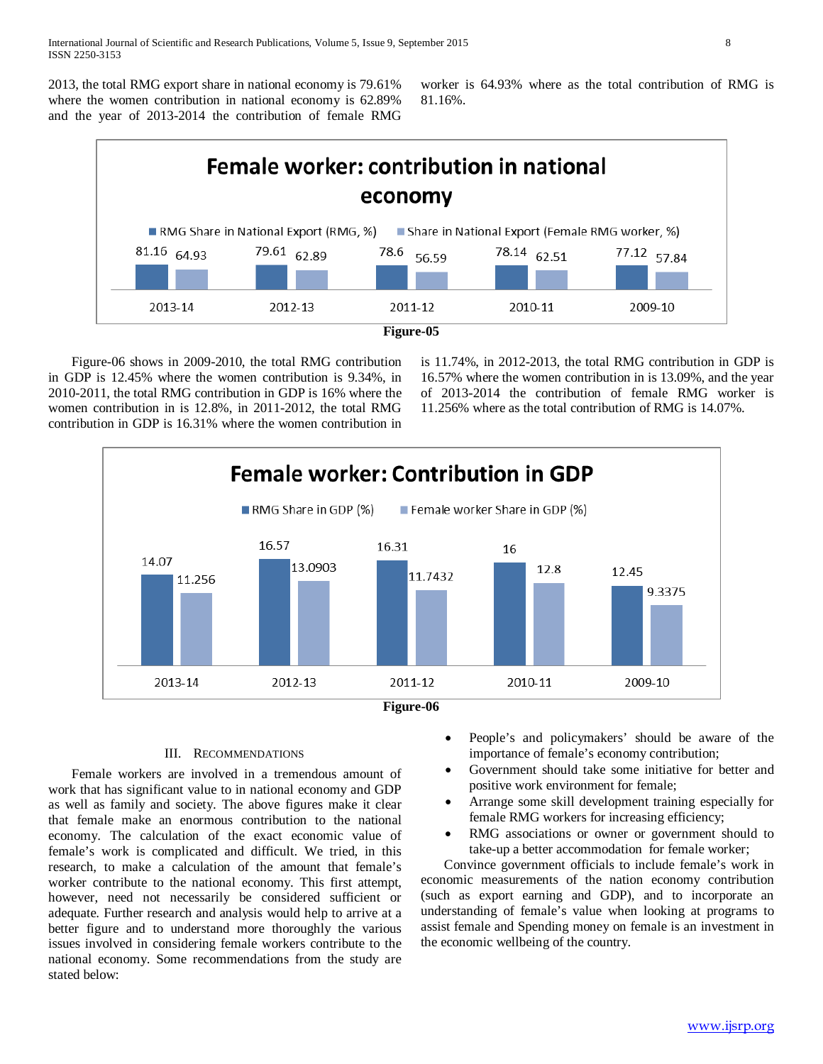2013, the total RMG export share in national economy is 79.61% where the women contribution in national economy is 62.89% and the year of 2013-2014 the contribution of female RMG worker is 64.93% where as the total contribution of RMG is 81.16%.



 Figure-06 shows in 2009-2010, the total RMG contribution in GDP is 12.45% where the women contribution is 9.34%, in 2010-2011, the total RMG contribution in GDP is 16% where the women contribution in is 12.8%, in 2011-2012, the total RMG contribution in GDP is 16.31% where the women contribution in is 11.74%, in 2012-2013, the total RMG contribution in GDP is 16.57% where the women contribution in is 13.09%, and the year of 2013-2014 the contribution of female RMG worker is 11.256% where as the total contribution of RMG is 14.07%.



## III. RECOMMENDATIONS

 Female workers are involved in a tremendous amount of work that has significant value to in national economy and GDP as well as family and society. The above figures make it clear that female make an enormous contribution to the national economy. The calculation of the exact economic value of female's work is complicated and difficult. We tried, in this research, to make a calculation of the amount that female's worker contribute to the national economy. This first attempt, however, need not necessarily be considered sufficient or adequate. Further research and analysis would help to arrive at a better figure and to understand more thoroughly the various issues involved in considering female workers contribute to the national economy. Some recommendations from the study are stated below:

- People's and policymakers' should be aware of the importance of female's economy contribution;
- Government should take some initiative for better and positive work environment for female;
- Arrange some skill development training especially for female RMG workers for increasing efficiency;
- RMG associations or owner or government should to take-up a better accommodation for female worker;

 Convince government officials to include female's work in economic measurements of the nation economy contribution (such as export earning and GDP), and to incorporate an understanding of female's value when looking at programs to assist female and Spending money on female is an investment in the economic wellbeing of the country.